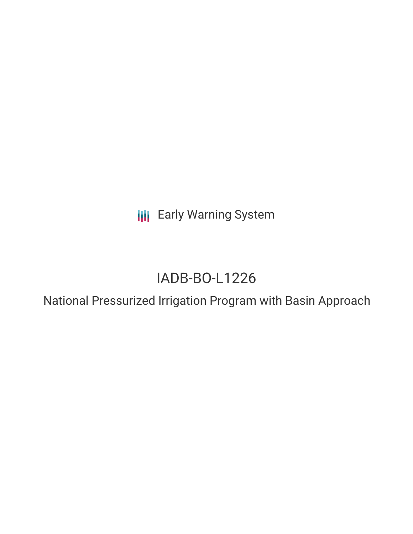**III** Early Warning System

# IADB-BO-L1226

National Pressurized Irrigation Program with Basin Approach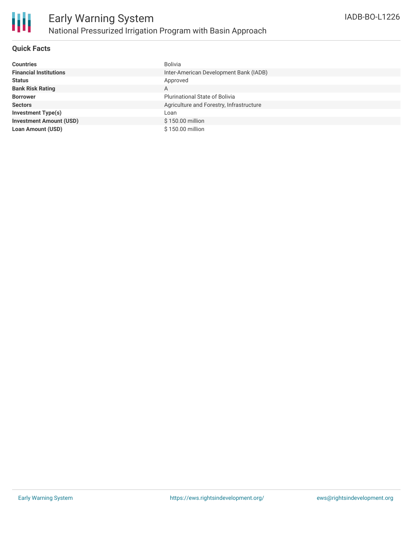

## **Quick Facts**

| <b>Countries</b>               | <b>Bolivia</b>                           |
|--------------------------------|------------------------------------------|
| <b>Financial Institutions</b>  | Inter-American Development Bank (IADB)   |
| <b>Status</b>                  | Approved                                 |
| <b>Bank Risk Rating</b>        | Α                                        |
| <b>Borrower</b>                | <b>Plurinational State of Bolivia</b>    |
| <b>Sectors</b>                 | Agriculture and Forestry, Infrastructure |
| <b>Investment Type(s)</b>      | Loan                                     |
| <b>Investment Amount (USD)</b> | \$150.00 million                         |
| <b>Loan Amount (USD)</b>       | \$150.00 million                         |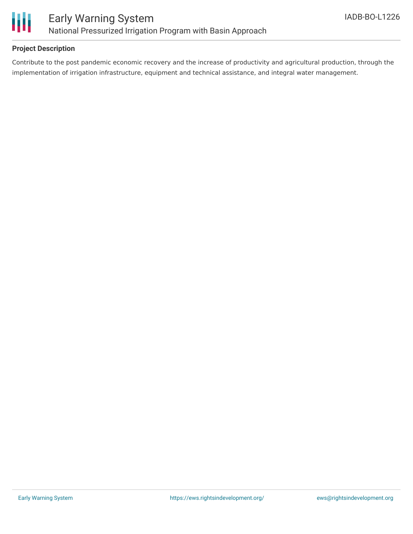

## **Project Description**

Contribute to the post pandemic economic recovery and the increase of productivity and agricultural production, through the implementation of irrigation infrastructure, equipment and technical assistance, and integral water management.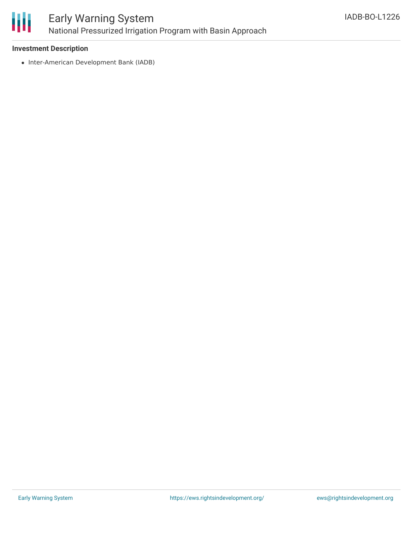

### **Investment Description**

• Inter-American Development Bank (IADB)